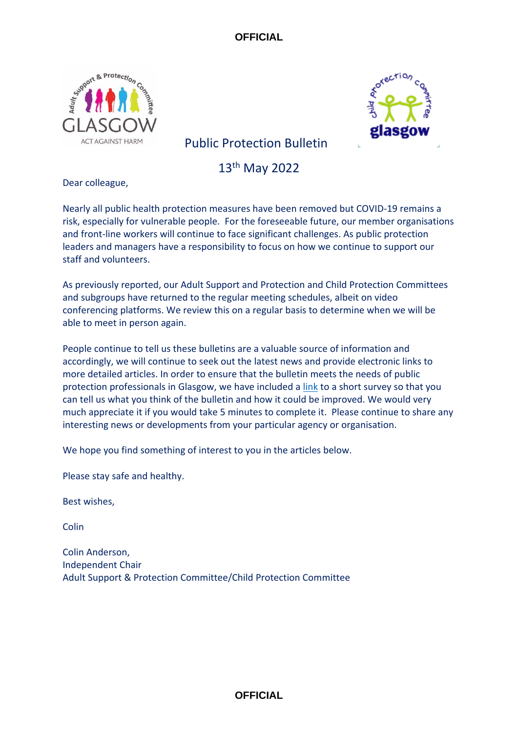



# Public Protection Bulletin

13th May 2022

Dear colleague,

Nearly all public health protection measures have been removed but COVID-19 remains a risk, especially for vulnerable people. For the foreseeable future, our member organisations and front-line workers will continue to face significant challenges. As public protection leaders and managers have a responsibility to focus on how we continue to support our staff and volunteers.

As previously reported, our Adult Support and Protection and Child Protection Committees and subgroups have returned to the regular meeting schedules, albeit on video conferencing platforms. We review this on a regular basis to determine when we will be able to meet in person again.

People continue to tell us these bulletins are a valuable source of information and accordingly, we will continue to seek out the latest news and provide electronic links to more detailed articles. In order to ensure that the bulletin meets the needs of public protection professionals in Glasgow, we have included a [link](https://www.smartsurvey.co.uk/s/C6WBPK/) to a short survey so that you can tell us what you think of the bulletin and how it could be improved. We would very much appreciate it if you would take 5 minutes to complete it. Please continue to share any interesting news or developments from your particular agency or organisation.

We hope you find something of interest to you in the articles below.

Please stay safe and healthy.

Best wishes,

Colin

Colin Anderson, Independent Chair Adult Support & Protection Committee/Child Protection Committee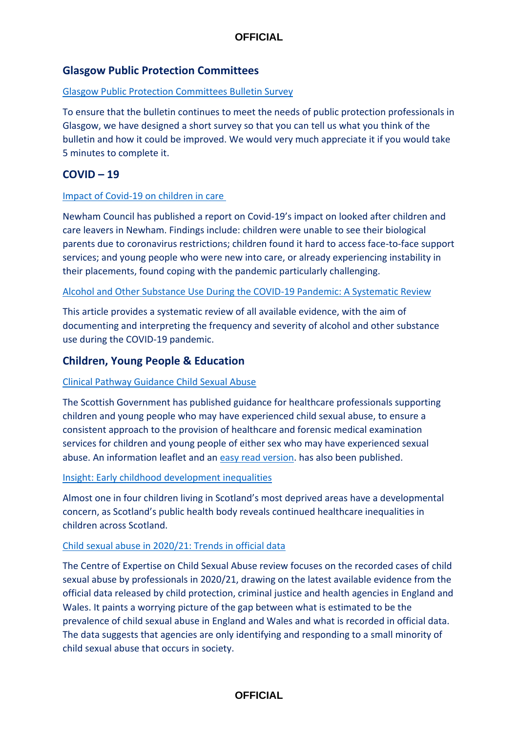# **Glasgow Public Protection Committees**

### [Glasgow Public Protection Committees Bulletin Survey](https://www.smartsurvey.co.uk/s/C6WBPK/)

To ensure that the bulletin continues to meet the needs of public protection professionals in Glasgow, we have designed a short survey so that you can tell us what you think of the bulletin and how it could be improved. We would very much appreciate it if you would take 5 minutes to complete it.

## **COVID – 19**

#### [Impact of Covid-19 on children in care](https://www.newham.gov.uk/downloads/file/4407/research-report-how-has-the-covid-19-pandemic-affected-children-in-care-and-care-leavers)

Newham Council has published a report on Covid-19's impact on looked after children and care leavers in Newham. Findings include: children were unable to see their biological parents due to coronavirus restrictions; children found it hard to access face-to-face support services; and young people who were new into care, or already experiencing instability in their placements, found coping with the pandemic particularly challenging.

[Alcohol and Other Substance Use During the COVID-19 Pandemic: A Systematic Review](https://doi.org/10.1016/j.drugalcdep.2021.109150)

This article provides a systematic review of all available evidence, with the aim of documenting and interpreting the frequency and severity of alcohol and other substance use during the COVID-19 pandemic.

## **Children, Young People & Education**

#### [Clinical Pathway Guidance Child Sexual Abuse](https://www.gov.scot/publications/clinical-pathway-healthcare-professionals-working-support-children-young-people-experienced-child-sexual-abuse/)

The Scottish Government has published guidance for healthcare professionals supporting children and young people who may have experienced child sexual abuse, to ensure a consistent approach to the provision of healthcare and forensic medical examination services for children and young people of either sex who may have experienced sexual abuse. An information leaflet and an [easy read version.](https://eur02.safelinks.protection.outlook.com/?url=https%3A%2F%2Fwww.gov.scot%2Fpublications%2Feasy-read-self-referral-sexual-assault-response-coordination-service-sarcs%2F&data=04%7C01%7Csusan.mitchell%40strath.ac.uk%7C14fa4cd36de943e5c6c708da1962dbe4%7C631e0763153347eba5cd0457bee5944e%7C0%7C0%7C637850209632791592%7CUnknown%7CTWFpbGZsb3d8eyJWIjoiMC4wLjAwMDAiLCJQIjoiV2luMzIiLCJBTiI6Ik1haWwiLCJXVCI6Mn0%3D%7C3000&sdata=2cjuVzibANYsu%2B5ddPbH1YwAFBT1VqWzKb8R2W%2BN%2B3g%3D&reserved=0) has also been published.

#### [Insight: Early childhood development inequalities](https://healthandcare.scot/default.asp?page=story&story=3082)

Almost one in four children living in Scotland's most deprived areas have a developmental concern, as Scotland's public health body reveals continued healthcare inequalities in children across Scotland.

#### [Child sexual abuse in 2020/21: Trends in official data](https://www.csacentre.org.uk/documents/child-sexual-abuse-in-2020-21-trends-in-official-data/)

The Centre of Expertise on Child Sexual Abuse review focuses on the recorded cases of child sexual abuse by professionals in 2020/21, drawing on the latest available evidence from the official data released by child protection, criminal justice and health agencies in England and Wales. It paints a worrying picture of the gap between what is estimated to be the prevalence of child sexual abuse in England and Wales and what is recorded in official data. The data suggests that agencies are only identifying and responding to a small minority of child sexual abuse that occurs in society.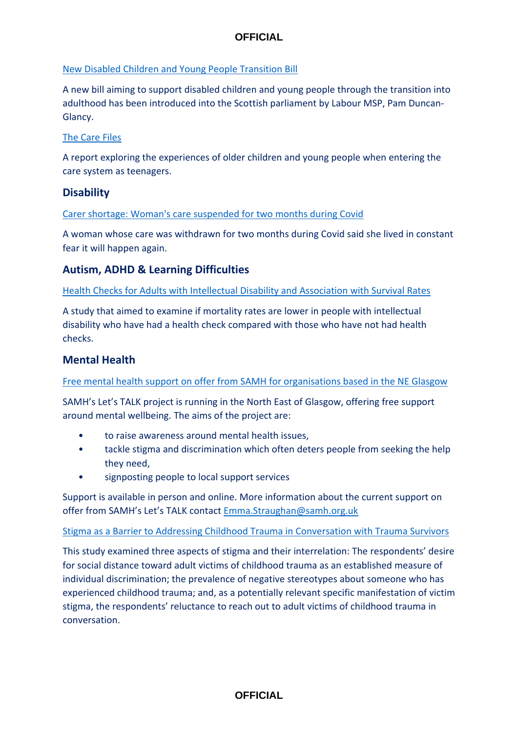## [New Disabled Children and Young People Transition Bill](https://www.healthandcare.scot/default.asp?page=story&story=3075)

A new bill aiming to support disabled children and young people through the transition into adulthood has been introduced into the Scottish parliament by Labour MSP, Pam Duncan-Glancy.

### [The Care Files](https://www.nuffieldfjo.org.uk/resource/the-care-files-exploring-the-experiences-of-teenagers-entering-the-care-system)

A report exploring the experiences of older children and young people when entering the care system as teenagers.

# **Disability**

[Carer shortage: Woman's care suspended for two months during Covid](https://www.bbc.co.uk/news/uk-wales-61365375)

A woman whose care was withdrawn for two months during Covid said she lived in constant fear it will happen again.

# **Autism, ADHD & Learning Difficulties**

[Health Checks for Adults with Intellectual Disability and Association with Survival Rates](https://bmjopen.bmj.com/content/bmjopen/12/4/e049441.full.pdf)

A study that aimed to examine if mortality rates are lower in people with intellectual disability who have had a health check compared with those who have not had health checks.

# **Mental Health**

[Free mental health support on offer from SAMH for organisations based in the NE Glasgow](mailto:Emma.Straughan@samh.org.uk)

SAMH's Let's TALK project is running in the North East of Glasgow, offering free support around mental wellbeing. The aims of the project are:

- to raise awareness around mental health issues,
- tackle stigma and discrimination which often deters people from seeking the help they need,
- signposting people to local support services

Support is available in person and online. More information about the current support on offer from SAMH's Let's TALK contact [Emma.Straughan@samh.org.uk](mailto:Emma.Straughan@samh.org.uk)

#### [Stigma as a Barrier to Addressing Childhood Trauma in Conversation with Trauma Survivors](https://doi.org/10.1371/journal.pone.0258782)

This study examined three aspects of stigma and their interrelation: The respondents' desire for social distance toward adult victims of childhood trauma as an established measure of individual discrimination; the prevalence of negative stereotypes about someone who has experienced childhood trauma; and, as a potentially relevant specific manifestation of victim stigma, the respondents' reluctance to reach out to adult victims of childhood trauma in conversation.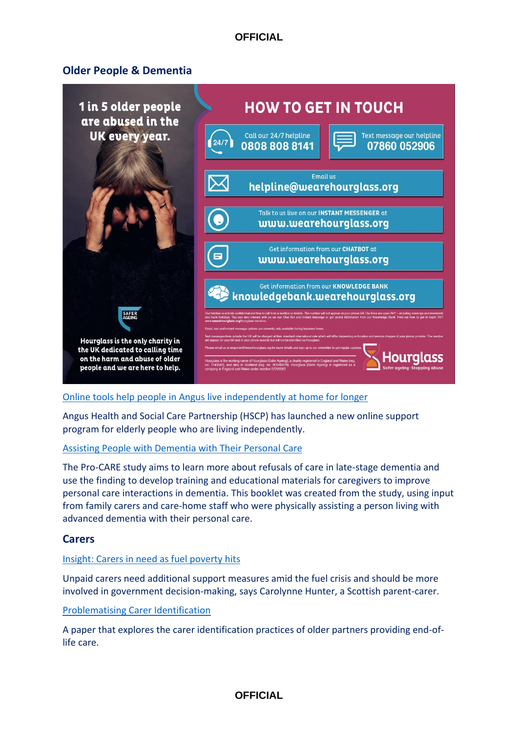# **Older People & Dementia**



#### [Online tools help people in Angus live independently at home for longer](https://www.nhstayside.scot.nhs.uk/News/Article/index.htm?article=PROD_356158)

Angus Health and Social Care Partnership (HSCP) has launched a new online support program for elderly people who are living independently.

#### [Assisting People with Dementia with Their Personal Care](https://www.christianahartleymedicalpractice.nhs.uk/media/1379/personal-care-in-dementia-booklet-16032022.pdf)

The Pro-CARE study aims to learn more about refusals of care in late-stage dementia and use the finding to develop training and educational materials for caregivers to improve personal care interactions in dementia. This booklet was created from the study, using input from family carers and care-home staff who were physically assisting a person living with advanced dementia with their personal care.

## **Carers**

#### [Insight: Carers in need as fuel poverty hits](https://healthandcare.scot/default.asp?page=story&story=3079)

Unpaid carers need additional support measures amid the fuel crisis and should be more involved in government decision-making, says Carolynne Hunter, a Scottish parent-carer.

#### [Problematising Carer Identification](https://doi.org/10.1016/j.ssmqr.2021.100015)

A paper that explores the carer identification practices of older partners providing end-oflife care.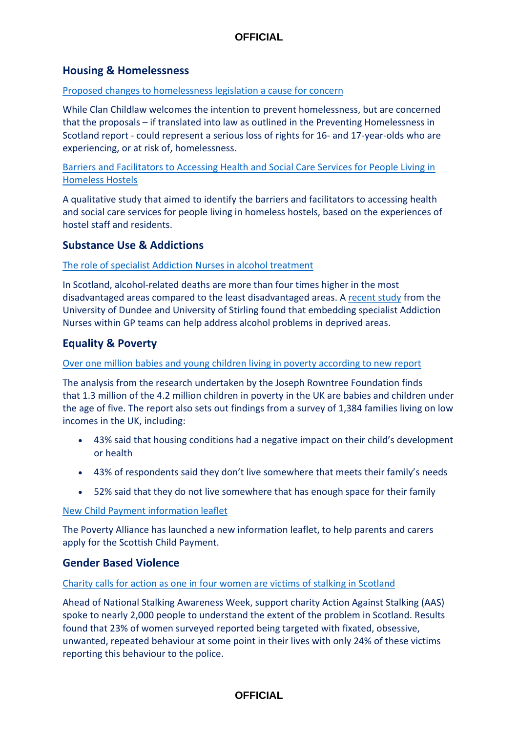# **Housing & Homelessness**

#### [Proposed changes to homelessness legislation a cause for concern](https://www.scottishhousingnews.com/articles/clan-childlaw-proposed-changes-to-homelessness-legislation-a-cause-for-concern)

While Clan Childlaw welcomes the intention to prevent homelessness, but are concerned that the proposals – if translated into law as outlined in the Preventing Homelessness in Scotland report - could represent a serious loss of rights for 16- and 17-year-olds who are experiencing, or at risk of, homelessness.

[Barriers and Facilitators to Accessing Health and Social Care Services for People Living in](doi:10.1136/%20bmjopen-2021-053185)  [Homeless Hostels](doi:10.1136/%20bmjopen-2021-053185)

A qualitative study that aimed to identify the barriers and facilitators to accessing health and social care services for people living in homeless hostels, based on the experiences of hostel staff and residents.

### **Substance Use & Addictions**

#### [The role of specialist Addiction Nurses in alcohol treatment](https://ahauk.org/the-role-of-specialist-addiction-nurses-in-alcohol-treatment/)

In Scotland, alcohol-related deaths are more than four times higher in the most disadvantaged areas compared to the least disadvantaged areas. A [recent study](https://www.shaap.org.uk/downloads/405-alcohol-management-deep-end-2022/viewdocument/405.html) from the University of Dundee and University of Stirling found that embedding specialist Addiction Nurses within GP teams can help address alcohol problems in deprived areas.

# **Equality & Poverty**

#### [Over one million babies and young children living in poverty according to new report](https://littlevillagehq.org/news/over-one-million-babies-and-young-children-living-in-poverty-according-to-new-report/)

The analysis from the research undertaken by the Joseph Rowntree Foundation finds that 1.3 million of the 4.2 million children in poverty in the UK are babies and children under the age of five. The report also sets out findings from a survey of 1,384 families living on low incomes in the UK, including:

- 43% said that housing conditions had a negative impact on their child's development or health
- 43% of respondents said they don't live somewhere that meets their family's needs
- 52% said that they do not live somewhere that has enough space for their family

#### [New Child Payment information leaflet](https://www.povertyalliance.org/scottish-child-payment/)

The Poverty Alliance has launched a new information leaflet, to help parents and carers apply for the Scottish Child Payment.

#### **Gender Based Violence**

#### [Charity calls for action as one in four women are victims of stalking in Scotland](https://tfn.scot/news/charity-calls-for-action-as-one-in-four-women-are-victims-of-stalking-in-scotland?utm_medium=email&utm_campaign=Weekly%20Third%20Force%20News%20-%20health-and-social-care&utm_content=Weekly%20Third%20Force%20News%20-%20health-and-social-care+CID_0ef87465dabedd77ad6d424eb117a71f&utm_source=tfn&utm_term=Charity%20calls%20for%20action%20as%20one%20in%20four%20women%20are%20victims%20of%20stalking%20in%20Scotland)

Ahead of National Stalking Awareness Week, support charity Action Against Stalking (AAS) spoke to nearly 2,000 people to understand the extent of the problem in Scotland. Results found that 23% of women surveyed reported being targeted with fixated, obsessive, unwanted, repeated behaviour at some point in their lives with only 24% of these victims reporting this behaviour to the police.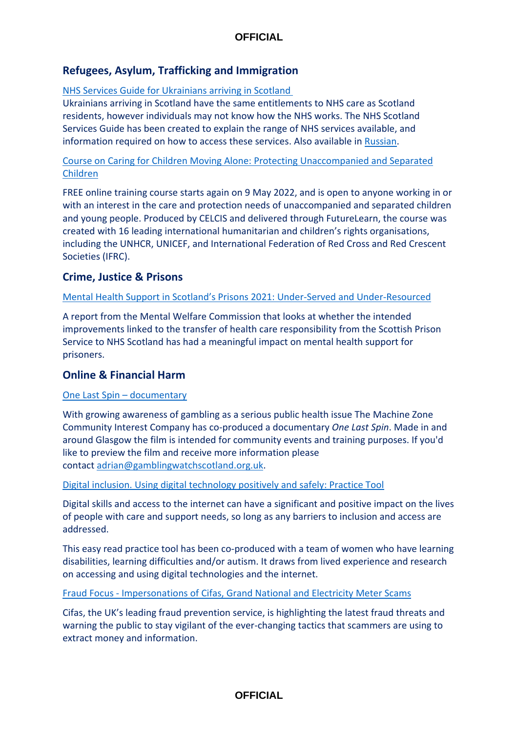# **Refugees, Asylum, Trafficking and Immigration**

[NHS Services Guide for Ukrainians arriving in Scotland](https://www.nhsinform.scot/translations/languages/ukrainian/a-guide-to-nhs-scotland-services-for-displaced-persons-from-ukraine-ukrainian/)

Ukrainians arriving in Scotland have the same entitlements to NHS care as Scotland residents, however individuals may not know how the NHS works. The NHS Scotland Services Guide has been created to explain the range of NHS services available, and information required on how to access these services. Also available in [Russian.](https://www.nhsinform.scot/translations/languages/russian/a-guide-to-nhs-scotland-services-for-displaced-persons-from-ukraine-russian/)

## [Course on Caring for Children Moving Alone: Protecting Unaccompanied and Separated](https://www.futurelearn.com/courses/caring-for-children-moving-alone)  [Children](https://www.futurelearn.com/courses/caring-for-children-moving-alone)

FREE online training course starts again on 9 May 2022, and is open to anyone working in or with an interest in the care and protection needs of unaccompanied and separated children and young people. Produced by CELCIS and delivered through FutureLearn, the course was created with 16 leading international humanitarian and children's rights organisations, including the UNHCR, UNICEF, and International Federation of Red Cross and Red Crescent Societies (IFRC).

# **Crime, Justice & Prisons**

### [Mental Health Support in Scotland's Prisons 2021: Under](https://www.mwcscot.org.uk/sites/default/files/2022-04/PrisonReport-April2022.pdf)-Served and Under-Resourced

A report from the Mental Welfare Commission that looks at whether the intended improvements linked to the transfer of health care responsibility from the Scottish Prison Service to NHS Scotland has had a meaningful impact on mental health support for prisoners.

# **Online & Financial Harm**

## [One Last Spin](https://onelastspin.vision/) – documentary

With growing awareness of gambling as a serious public health issue The Machine Zone Community Interest Company has co-produced a documentary *One Last Spin*. Made in and around Glasgow the film is intended for community events and training purposes. If you'd like to preview the film and receive more information please contact [adrian@gamblingwatchscotland.org.uk.](mailto:adrian@gamblingwatchscotland.org.uk)

## [Digital inclusion. Using digital technology positively and safely: Practice Tool](https://www.researchinpractice.org.uk/adults/publications/2022/april/digital-inclusion-using-digital-technology-positively-and-safely-practice-tool-easy-read-version-2022/?utm_source=Partner+bulletin&utm_campaign=3a0453b723-Adults+%E2%80%93+Partner+update+%E2%80%93+21%2F02%2F22_COPY_01&utm_medium=email&utm_term=0_86e47600a4-3a0453b723-&utm_source=Non-Partner+bulletin&utm_campaign=44f74ff9b5-EMAIL_CAMPAIGN_2022_04_26_11_54&utm_medium=email&utm_term=0_4146f9bdbb-44f74ff9b5-38104929)

Digital skills and access to the internet can have a significant and positive impact on the lives of people with care and support needs, so long as any barriers to inclusion and access are addressed.

This easy read practice tool has been co-produced with a team of women who have learning disabilities, learning difficulties and/or autism. It draws from lived experience and research on accessing and using digital technologies and the internet.

#### Fraud Focus - [Impersonations of Cifas, Grand National and Electricity Meter Scams](https://www.cifas.org.uk/newsroom/fraud-focus-8-april)

Cifas, the UK's leading fraud prevention service, is highlighting the latest fraud threats and warning the public to stay vigilant of the ever-changing tactics that scammers are using to extract money and information.